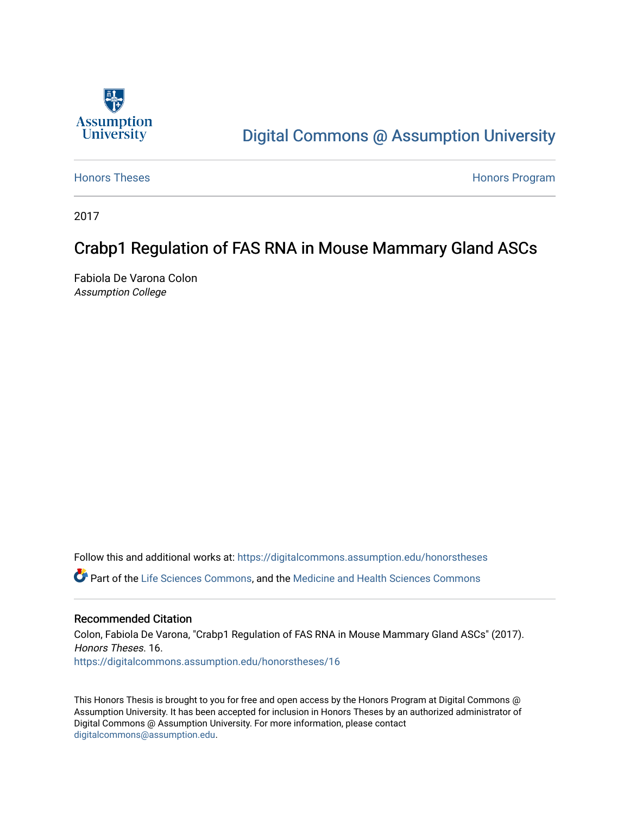

# [Digital Commons @ Assumption University](https://digitalcommons.assumption.edu/)

[Honors Theses](https://digitalcommons.assumption.edu/honorstheses) **Honors** Program

2017

# Crabp1 Regulation of FAS RNA in Mouse Mammary Gland ASCs

Fabiola De Varona Colon Assumption College

Follow this and additional works at: [https://digitalcommons.assumption.edu/honorstheses](https://digitalcommons.assumption.edu/honorstheses?utm_source=digitalcommons.assumption.edu%2Fhonorstheses%2F16&utm_medium=PDF&utm_campaign=PDFCoverPages)

Part of the [Life Sciences Commons,](http://network.bepress.com/hgg/discipline/1016?utm_source=digitalcommons.assumption.edu%2Fhonorstheses%2F16&utm_medium=PDF&utm_campaign=PDFCoverPages) and the [Medicine and Health Sciences Commons](http://network.bepress.com/hgg/discipline/648?utm_source=digitalcommons.assumption.edu%2Fhonorstheses%2F16&utm_medium=PDF&utm_campaign=PDFCoverPages)

### Recommended Citation

Colon, Fabiola De Varona, "Crabp1 Regulation of FAS RNA in Mouse Mammary Gland ASCs" (2017). Honors Theses. 16. [https://digitalcommons.assumption.edu/honorstheses/16](https://digitalcommons.assumption.edu/honorstheses/16?utm_source=digitalcommons.assumption.edu%2Fhonorstheses%2F16&utm_medium=PDF&utm_campaign=PDFCoverPages) 

This Honors Thesis is brought to you for free and open access by the Honors Program at Digital Commons @ Assumption University. It has been accepted for inclusion in Honors Theses by an authorized administrator of Digital Commons @ Assumption University. For more information, please contact [digitalcommons@assumption.edu](mailto:digitalcommons@assumption.edu).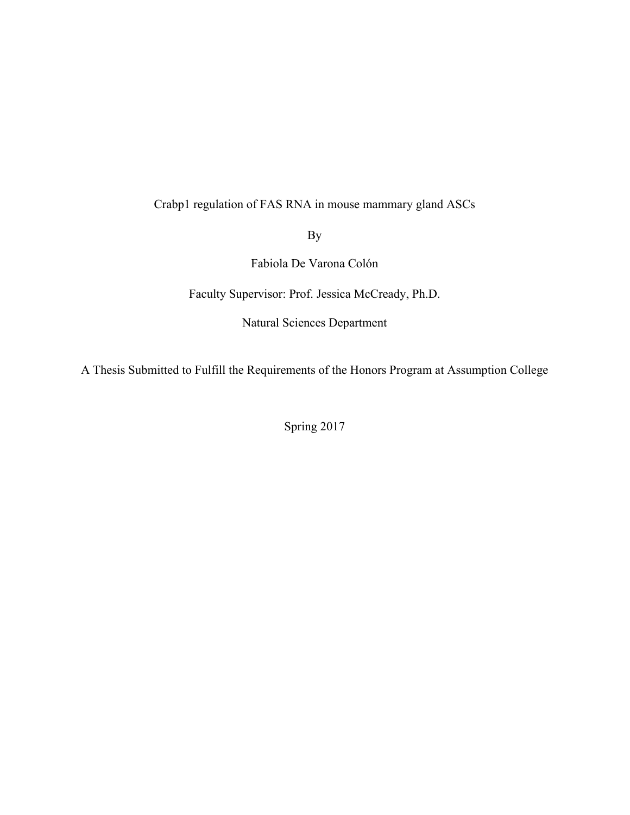# Crabp1 regulation of FAS RNA in mouse mammary gland ASCs

By

Fabiola De Varona Colón

Faculty Supervisor: Prof. Jessica McCready, Ph.D.

Natural Sciences Department

A Thesis Submitted to Fulfill the Requirements of the Honors Program at Assumption College

Spring 2017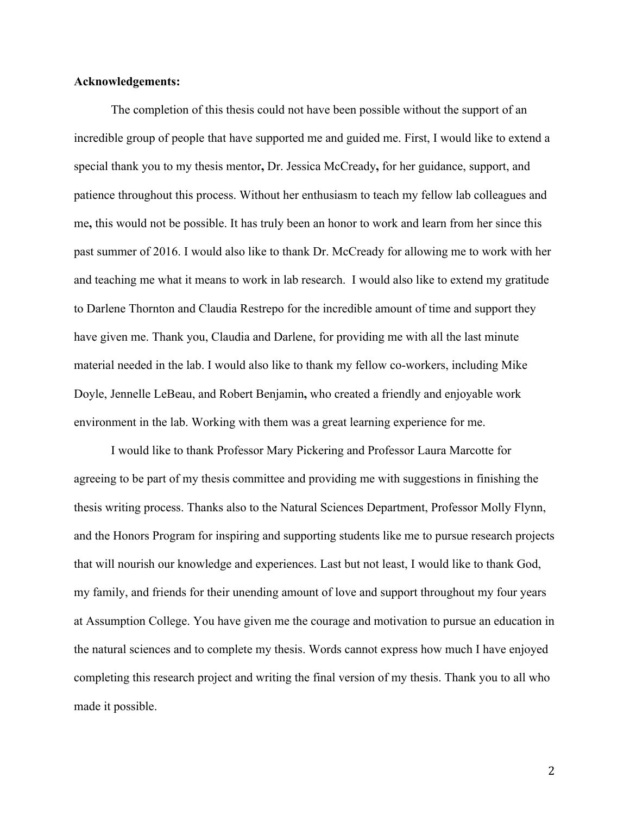### **Acknowledgements:**

The completion of this thesis could not have been possible without the support of an incredible group of people that have supported me and guided me. First, I would like to extend a special thank you to my thesis mentor**,** Dr. Jessica McCready**,** for her guidance, support, and patience throughout this process. Without her enthusiasm to teach my fellow lab colleagues and me**,** this would not be possible. It has truly been an honor to work and learn from her since this past summer of 2016. I would also like to thank Dr. McCready for allowing me to work with her and teaching me what it means to work in lab research. I would also like to extend my gratitude to Darlene Thornton and Claudia Restrepo for the incredible amount of time and support they have given me. Thank you, Claudia and Darlene, for providing me with all the last minute material needed in the lab. I would also like to thank my fellow co-workers, including Mike Doyle, Jennelle LeBeau, and Robert Benjamin**,** who created a friendly and enjoyable work environment in the lab. Working with them was a great learning experience for me.

I would like to thank Professor Mary Pickering and Professor Laura Marcotte for agreeing to be part of my thesis committee and providing me with suggestions in finishing the thesis writing process. Thanks also to the Natural Sciences Department, Professor Molly Flynn, and the Honors Program for inspiring and supporting students like me to pursue research projects that will nourish our knowledge and experiences. Last but not least, I would like to thank God, my family, and friends for their unending amount of love and support throughout my four years at Assumption College. You have given me the courage and motivation to pursue an education in the natural sciences and to complete my thesis. Words cannot express how much I have enjoyed completing this research project and writing the final version of my thesis. Thank you to all who made it possible.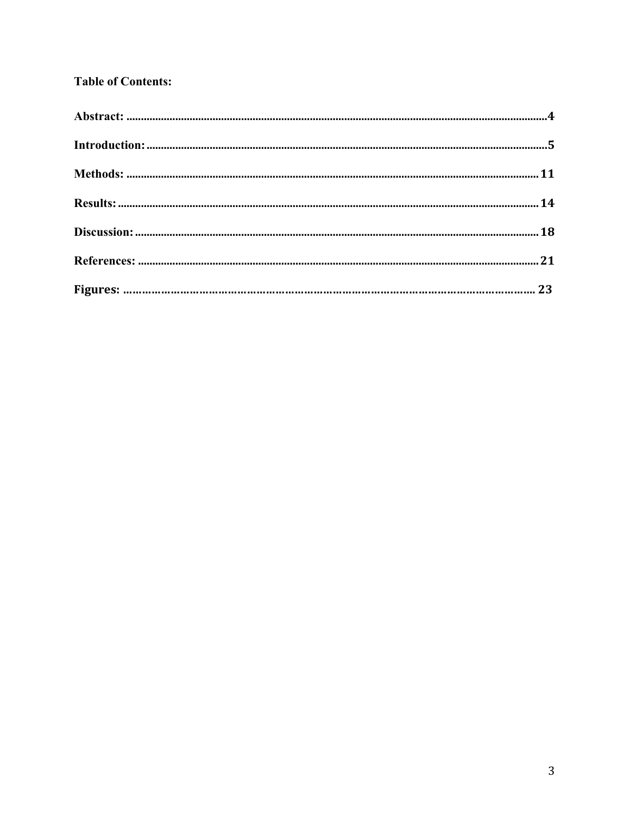# **Table of Contents:**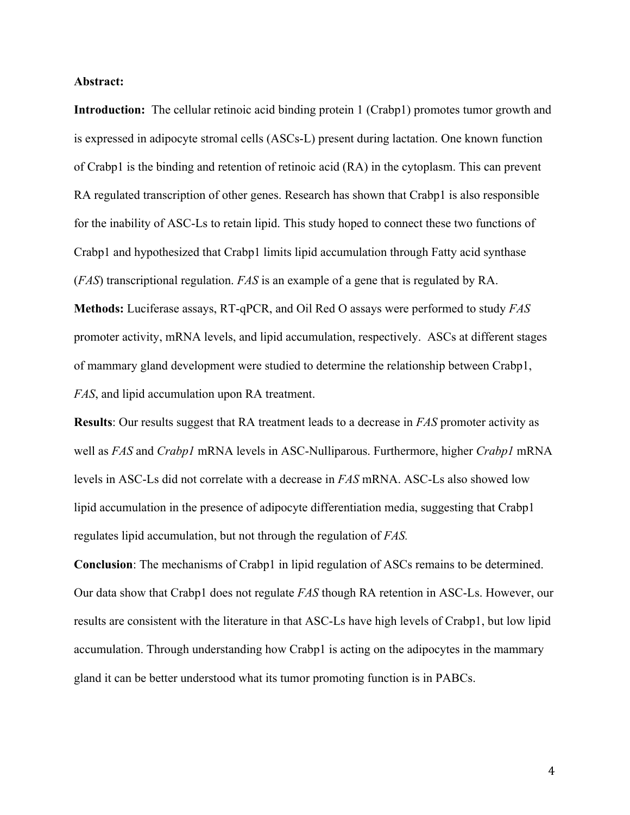#### **Abstract:**

**Introduction:** The cellular retinoic acid binding protein 1 (Crabp1) promotes tumor growth and is expressed in adipocyte stromal cells (ASCs-L) present during lactation. One known function of Crabp1 is the binding and retention of retinoic acid (RA) in the cytoplasm. This can prevent RA regulated transcription of other genes. Research has shown that Crabp1 is also responsible for the inability of ASC-Ls to retain lipid. This study hoped to connect these two functions of Crabp1 and hypothesized that Crabp1 limits lipid accumulation through Fatty acid synthase (*FAS*) transcriptional regulation. *FAS* is an example of a gene that is regulated by RA.

**Methods:** Luciferase assays, RT-qPCR, and Oil Red O assays were performed to study *FAS* promoter activity, mRNA levels, and lipid accumulation, respectively. ASCs at different stages of mammary gland development were studied to determine the relationship between Crabp1, *FAS*, and lipid accumulation upon RA treatment.

**Results**: Our results suggest that RA treatment leads to a decrease in *FAS* promoter activity as well as *FAS* and *Crabp1* mRNA levels in ASC-Nulliparous. Furthermore, higher *Crabp1* mRNA levels in ASC-Ls did not correlate with a decrease in *FAS* mRNA. ASC-Ls also showed low lipid accumulation in the presence of adipocyte differentiation media, suggesting that Crabp1 regulates lipid accumulation, but not through the regulation of *FAS.*

**Conclusion**: The mechanisms of Crabp1 in lipid regulation of ASCs remains to be determined. Our data show that Crabp1 does not regulate *FAS* though RA retention in ASC-Ls. However, our results are consistent with the literature in that ASC-Ls have high levels of Crabp1, but low lipid accumulation. Through understanding how Crabp1 is acting on the adipocytes in the mammary gland it can be better understood what its tumor promoting function is in PABCs.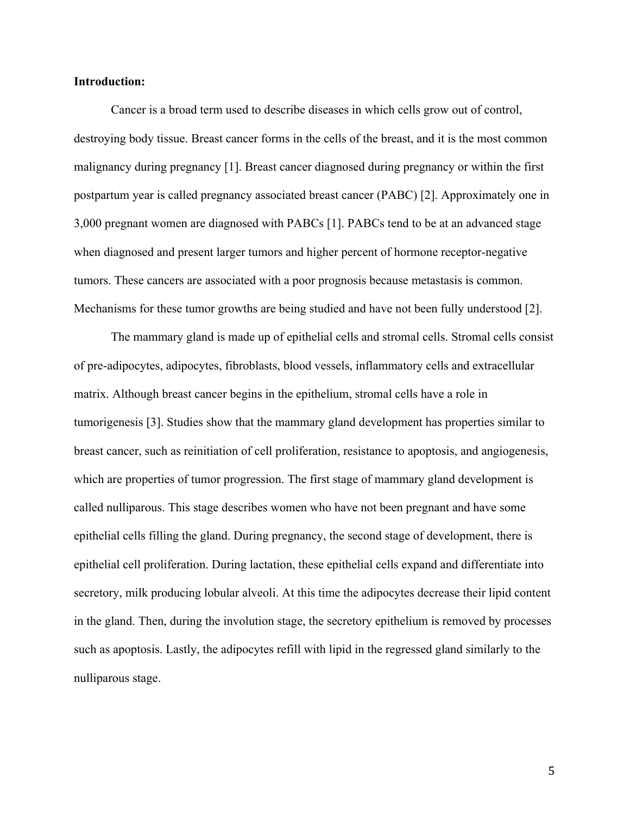#### **Introduction:**

Cancer is a broad term used to describe diseases in which cells grow out of control, destroying body tissue. Breast cancer forms in the cells of the breast, and it is the most common malignancy during pregnancy [1]. Breast cancer diagnosed during pregnancy or within the first postpartum year is called pregnancy associated breast cancer (PABC) [2]. Approximately one in 3,000 pregnant women are diagnosed with PABCs [1]. PABCs tend to be at an advanced stage when diagnosed and present larger tumors and higher percent of hormone receptor-negative tumors. These cancers are associated with a poor prognosis because metastasis is common. Mechanisms for these tumor growths are being studied and have not been fully understood [2].

The mammary gland is made up of epithelial cells and stromal cells. Stromal cells consist of pre-adipocytes, adipocytes, fibroblasts, blood vessels, inflammatory cells and extracellular matrix. Although breast cancer begins in the epithelium, stromal cells have a role in tumorigenesis [3]. Studies show that the mammary gland development has properties similar to breast cancer, such as reinitiation of cell proliferation, resistance to apoptosis, and angiogenesis, which are properties of tumor progression. The first stage of mammary gland development is called nulliparous. This stage describes women who have not been pregnant and have some epithelial cells filling the gland. During pregnancy, the second stage of development, there is epithelial cell proliferation. During lactation, these epithelial cells expand and differentiate into secretory, milk producing lobular alveoli. At this time the adipocytes decrease their lipid content in the gland. Then, during the involution stage, the secretory epithelium is removed by processes such as apoptosis. Lastly, the adipocytes refill with lipid in the regressed gland similarly to the nulliparous stage.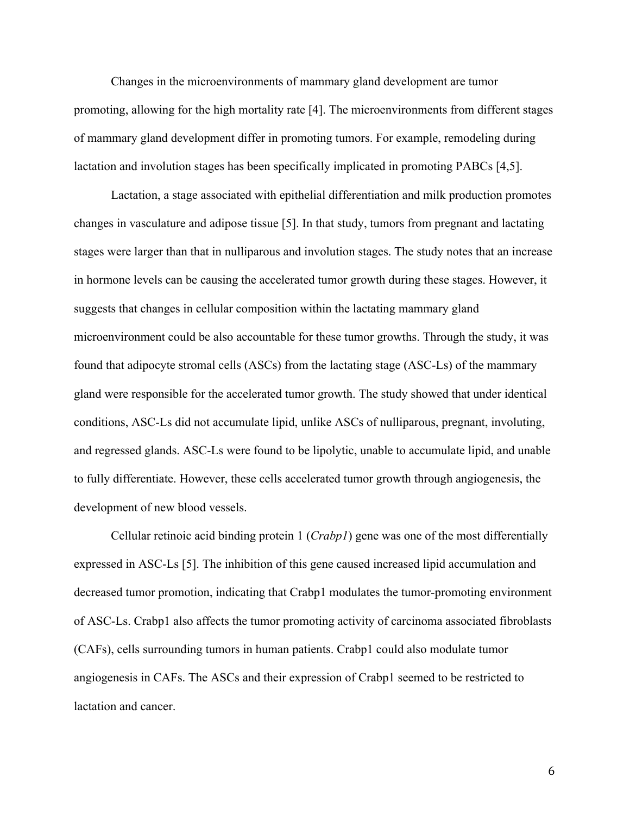Changes in the microenvironments of mammary gland development are tumor promoting, allowing for the high mortality rate [4]. The microenvironments from different stages of mammary gland development differ in promoting tumors. For example, remodeling during lactation and involution stages has been specifically implicated in promoting PABCs [4,5].

Lactation, a stage associated with epithelial differentiation and milk production promotes changes in vasculature and adipose tissue [5]. In that study, tumors from pregnant and lactating stages were larger than that in nulliparous and involution stages. The study notes that an increase in hormone levels can be causing the accelerated tumor growth during these stages. However, it suggests that changes in cellular composition within the lactating mammary gland microenvironment could be also accountable for these tumor growths. Through the study, it was found that adipocyte stromal cells (ASCs) from the lactating stage (ASC-Ls) of the mammary gland were responsible for the accelerated tumor growth. The study showed that under identical conditions, ASC-Ls did not accumulate lipid, unlike ASCs of nulliparous, pregnant, involuting, and regressed glands. ASC-Ls were found to be lipolytic, unable to accumulate lipid, and unable to fully differentiate. However, these cells accelerated tumor growth through angiogenesis, the development of new blood vessels.

Cellular retinoic acid binding protein 1 (*Crabp1*) gene was one of the most differentially expressed in ASC-Ls [5]. The inhibition of this gene caused increased lipid accumulation and decreased tumor promotion, indicating that Crabp1 modulates the tumor-promoting environment of ASC-Ls. Crabp1 also affects the tumor promoting activity of carcinoma associated fibroblasts (CAFs), cells surrounding tumors in human patients. Crabp1 could also modulate tumor angiogenesis in CAFs. The ASCs and their expression of Crabp1 seemed to be restricted to lactation and cancer.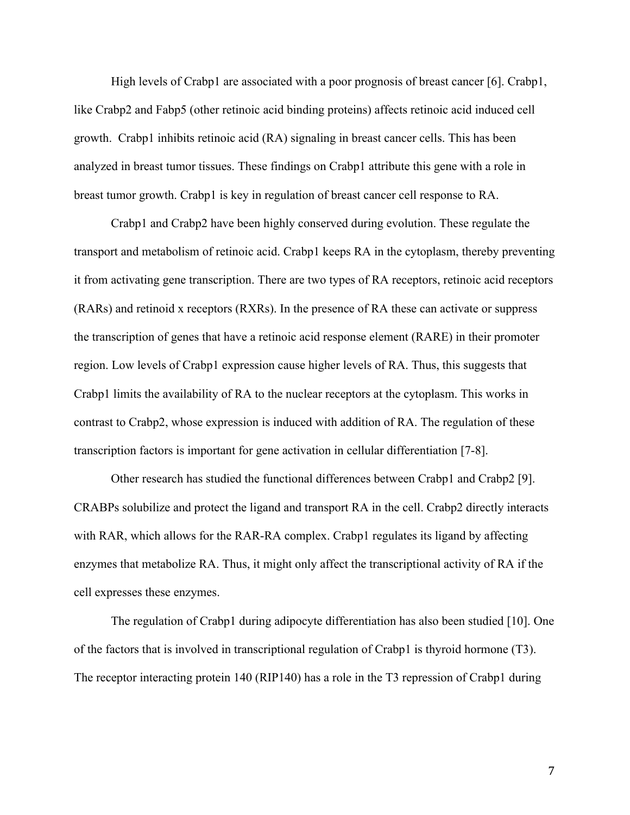High levels of Crabp1 are associated with a poor prognosis of breast cancer [6]. Crabp1, like Crabp2 and Fabp5 (other retinoic acid binding proteins) affects retinoic acid induced cell growth. Crabp1 inhibits retinoic acid (RA) signaling in breast cancer cells. This has been analyzed in breast tumor tissues. These findings on Crabp1 attribute this gene with a role in breast tumor growth. Crabp1 is key in regulation of breast cancer cell response to RA.

Crabp1 and Crabp2 have been highly conserved during evolution. These regulate the transport and metabolism of retinoic acid. Crabp1 keeps RA in the cytoplasm, thereby preventing it from activating gene transcription. There are two types of RA receptors, retinoic acid receptors (RARs) and retinoid x receptors (RXRs). In the presence of RA these can activate or suppress the transcription of genes that have a retinoic acid response element (RARE) in their promoter region. Low levels of Crabp1 expression cause higher levels of RA. Thus, this suggests that Crabp1 limits the availability of RA to the nuclear receptors at the cytoplasm. This works in contrast to Crabp2, whose expression is induced with addition of RA. The regulation of these transcription factors is important for gene activation in cellular differentiation [7-8].

Other research has studied the functional differences between Crabp1 and Crabp2 [9]. CRABPs solubilize and protect the ligand and transport RA in the cell. Crabp2 directly interacts with RAR, which allows for the RAR-RA complex. Crabp1 regulates its ligand by affecting enzymes that metabolize RA. Thus, it might only affect the transcriptional activity of RA if the cell expresses these enzymes.

The regulation of Crabp1 during adipocyte differentiation has also been studied [10]. One of the factors that is involved in transcriptional regulation of Crabp1 is thyroid hormone (T3). The receptor interacting protein 140 (RIP140) has a role in the T3 repression of Crabp1 during

7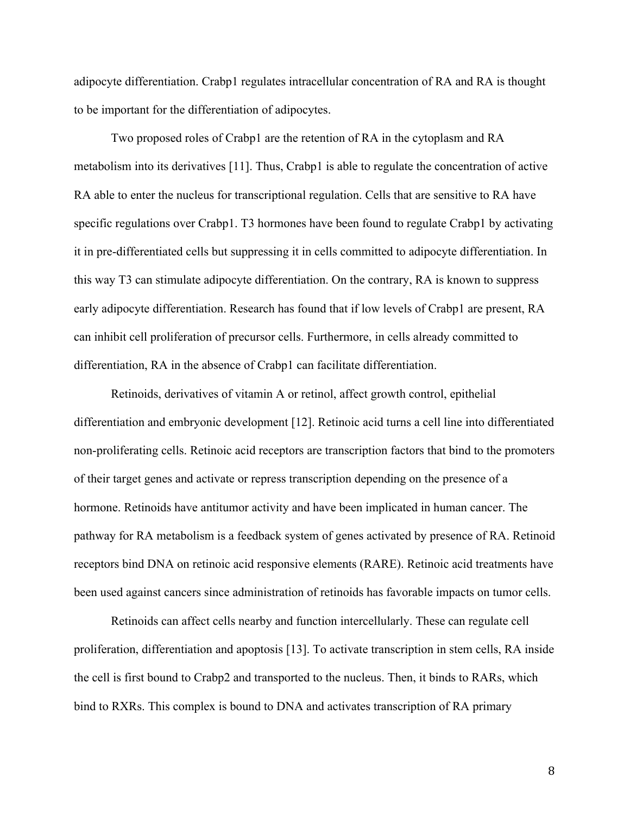adipocyte differentiation. Crabp1 regulates intracellular concentration of RA and RA is thought to be important for the differentiation of adipocytes.

Two proposed roles of Crabp1 are the retention of RA in the cytoplasm and RA metabolism into its derivatives [11]. Thus, Crabp1 is able to regulate the concentration of active RA able to enter the nucleus for transcriptional regulation. Cells that are sensitive to RA have specific regulations over Crabp1. T3 hormones have been found to regulate Crabp1 by activating it in pre-differentiated cells but suppressing it in cells committed to adipocyte differentiation. In this way T3 can stimulate adipocyte differentiation. On the contrary, RA is known to suppress early adipocyte differentiation. Research has found that if low levels of Crabp1 are present, RA can inhibit cell proliferation of precursor cells. Furthermore, in cells already committed to differentiation, RA in the absence of Crabp1 can facilitate differentiation.

Retinoids, derivatives of vitamin A or retinol, affect growth control, epithelial differentiation and embryonic development [12]. Retinoic acid turns a cell line into differentiated non-proliferating cells. Retinoic acid receptors are transcription factors that bind to the promoters of their target genes and activate or repress transcription depending on the presence of a hormone. Retinoids have antitumor activity and have been implicated in human cancer. The pathway for RA metabolism is a feedback system of genes activated by presence of RA. Retinoid receptors bind DNA on retinoic acid responsive elements (RARE). Retinoic acid treatments have been used against cancers since administration of retinoids has favorable impacts on tumor cells.

Retinoids can affect cells nearby and function intercellularly. These can regulate cell proliferation, differentiation and apoptosis [13]. To activate transcription in stem cells, RA inside the cell is first bound to Crabp2 and transported to the nucleus. Then, it binds to RARs, which bind to RXRs. This complex is bound to DNA and activates transcription of RA primary

8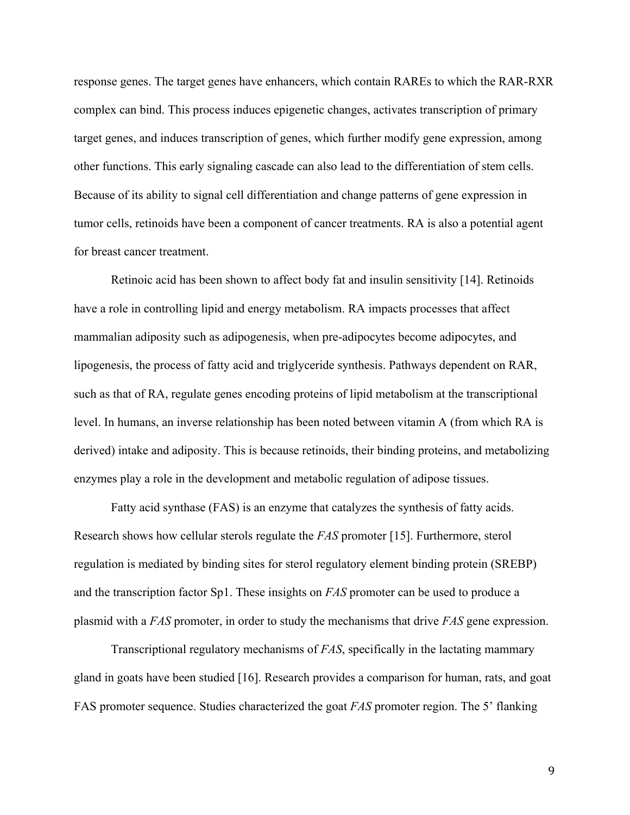response genes. The target genes have enhancers, which contain RAREs to which the RAR-RXR complex can bind. This process induces epigenetic changes, activates transcription of primary target genes, and induces transcription of genes, which further modify gene expression, among other functions. This early signaling cascade can also lead to the differentiation of stem cells. Because of its ability to signal cell differentiation and change patterns of gene expression in tumor cells, retinoids have been a component of cancer treatments. RA is also a potential agent for breast cancer treatment.

Retinoic acid has been shown to affect body fat and insulin sensitivity [14]. Retinoids have a role in controlling lipid and energy metabolism. RA impacts processes that affect mammalian adiposity such as adipogenesis, when pre-adipocytes become adipocytes, and lipogenesis, the process of fatty acid and triglyceride synthesis. Pathways dependent on RAR, such as that of RA, regulate genes encoding proteins of lipid metabolism at the transcriptional level. In humans, an inverse relationship has been noted between vitamin A (from which RA is derived) intake and adiposity. This is because retinoids, their binding proteins, and metabolizing enzymes play a role in the development and metabolic regulation of adipose tissues.

Fatty acid synthase (FAS) is an enzyme that catalyzes the synthesis of fatty acids. Research shows how cellular sterols regulate the *FAS* promoter [15]. Furthermore, sterol regulation is mediated by binding sites for sterol regulatory element binding protein (SREBP) and the transcription factor Sp1. These insights on *FAS* promoter can be used to produce a plasmid with a *FAS* promoter, in order to study the mechanisms that drive *FAS* gene expression.

Transcriptional regulatory mechanisms of *FAS*, specifically in the lactating mammary gland in goats have been studied [16]. Research provides a comparison for human, rats, and goat FAS promoter sequence. Studies characterized the goat *FAS* promoter region. The 5' flanking

9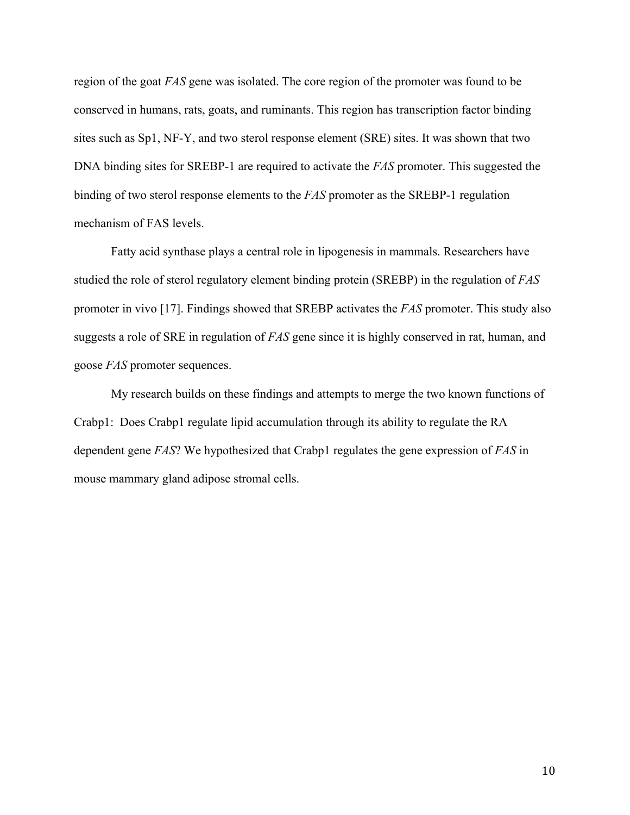region of the goat *FAS* gene was isolated. The core region of the promoter was found to be conserved in humans, rats, goats, and ruminants. This region has transcription factor binding sites such as Sp1, NF-Y, and two sterol response element (SRE) sites. It was shown that two DNA binding sites for SREBP-1 are required to activate the *FAS* promoter. This suggested the binding of two sterol response elements to the *FAS* promoter as the SREBP-1 regulation mechanism of FAS levels.

Fatty acid synthase plays a central role in lipogenesis in mammals. Researchers have studied the role of sterol regulatory element binding protein (SREBP) in the regulation of *FAS* promoter in vivo [17]. Findings showed that SREBP activates the *FAS* promoter. This study also suggests a role of SRE in regulation of *FAS* gene since it is highly conserved in rat, human, and goose *FAS* promoter sequences.

My research builds on these findings and attempts to merge the two known functions of Crabp1: Does Crabp1 regulate lipid accumulation through its ability to regulate the RA dependent gene *FAS*? We hypothesized that Crabp1 regulates the gene expression of *FAS* in mouse mammary gland adipose stromal cells.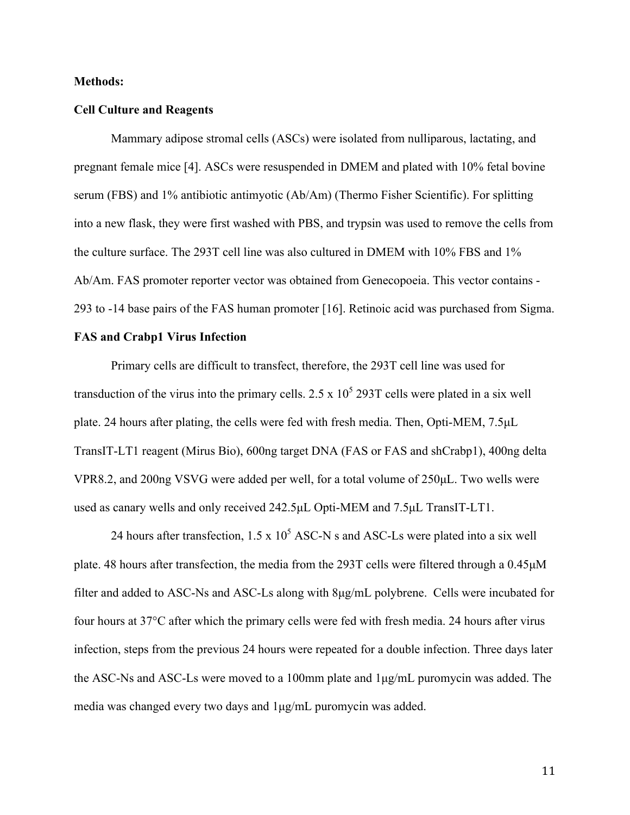#### **Methods:**

#### **Cell Culture and Reagents**

Mammary adipose stromal cells (ASCs) were isolated from nulliparous, lactating, and pregnant female mice [4]. ASCs were resuspended in DMEM and plated with 10% fetal bovine serum (FBS) and 1% antibiotic antimyotic (Ab/Am) (Thermo Fisher Scientific). For splitting into a new flask, they were first washed with PBS, and trypsin was used to remove the cells from the culture surface. The 293T cell line was also cultured in DMEM with 10% FBS and 1% Ab/Am. FAS promoter reporter vector was obtained from Genecopoeia. This vector contains - 293 to -14 base pairs of the FAS human promoter [16]. Retinoic acid was purchased from Sigma.

#### **FAS and Crabp1 Virus Infection**

Primary cells are difficult to transfect, therefore, the 293T cell line was used for transduction of the virus into the primary cells.  $2.5 \times 10^5$  293T cells were plated in a six well plate. 24 hours after plating, the cells were fed with fresh media. Then, Opti-MEM, 7.5µL TransIT-LT1 reagent (Mirus Bio), 600ng target DNA (FAS or FAS and shCrabp1), 400ng delta VPR8.2, and 200ng VSVG were added per well, for a total volume of 250µL. Two wells were used as canary wells and only received 242.5µL Opti-MEM and 7.5µL TransIT-LT1.

24 hours after transfection,  $1.5 \times 10^5$  ASC-N s and ASC-Ls were plated into a six well plate. 48 hours after transfection, the media from the 293T cells were filtered through a 0.45µM filter and added to ASC-Ns and ASC-Ls along with 8µg/mL polybrene. Cells were incubated for four hours at 37°C after which the primary cells were fed with fresh media. 24 hours after virus infection, steps from the previous 24 hours were repeated for a double infection. Three days later the ASC-Ns and ASC-Ls were moved to a 100mm plate and 1µg/mL puromycin was added. The media was changed every two days and 1µg/mL puromycin was added.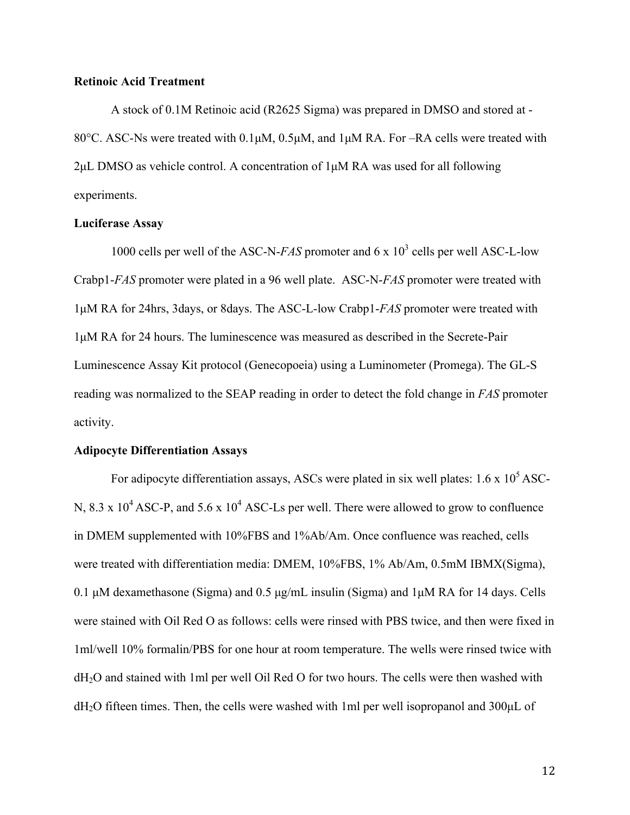#### **Retinoic Acid Treatment**

A stock of 0.1M Retinoic acid (R2625 Sigma) was prepared in DMSO and stored at - 80°C. ASC-Ns were treated with  $0.1\mu$ M,  $0.5\mu$ M, and  $1\mu$ M RA. For –RA cells were treated with 2µL DMSO as vehicle control. A concentration of 1µM RA was used for all following experiments.

#### **Luciferase Assay**

1000 cells per well of the ASC-N-*FAS* promoter and 6 x 10<sup>3</sup> cells per well ASC-L-low Crabp1-*FAS* promoter were plated in a 96 well plate. ASC-N-*FAS* promoter were treated with 1µM RA for 24hrs, 3days, or 8days. The ASC-L-low Crabp1-*FAS* promoter were treated with 1µM RA for 24 hours. The luminescence was measured as described in the Secrete-Pair Luminescence Assay Kit protocol (Genecopoeia) using a Luminometer (Promega). The GL-S reading was normalized to the SEAP reading in order to detect the fold change in *FAS* promoter activity.

#### **Adipocyte Differentiation Assays**

For adipocyte differentiation assays, ASCs were plated in six well plates:  $1.6 \times 10^5$  ASC-N,  $8.3 \times 10^4$  ASC-P, and  $5.6 \times 10^4$  ASC-Ls per well. There were allowed to grow to confluence in DMEM supplemented with 10%FBS and 1%Ab/Am. Once confluence was reached, cells were treated with differentiation media: DMEM, 10%FBS, 1% Ab/Am, 0.5mM IBMX(Sigma), 0.1  $\mu$ M dexamethasone (Sigma) and 0.5  $\mu$ g/mL insulin (Sigma) and 1 $\mu$ M RA for 14 days. Cells were stained with Oil Red O as follows: cells were rinsed with PBS twice, and then were fixed in 1ml/well 10% formalin/PBS for one hour at room temperature. The wells were rinsed twice with dH2O and stained with 1ml per well Oil Red O for two hours. The cells were then washed with  $d_{2}$ O fifteen times. Then, the cells were washed with 1ml per well isopropanol and 300 $\mu$ L of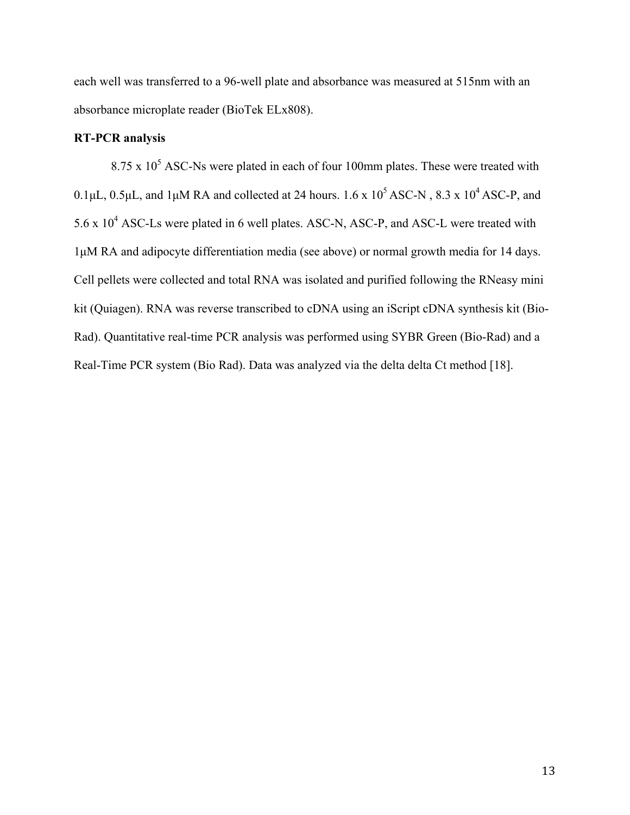each well was transferred to a 96-well plate and absorbance was measured at 515nm with an absorbance microplate reader (BioTek ELx808).

## **RT-PCR analysis**

 $8.75 \times 10^5$  ASC-Ns were plated in each of four 100mm plates. These were treated with 0.1µL, 0.5µL, and 1µM RA and collected at 24 hours.  $1.6 \times 10^5$  ASC-N,  $8.3 \times 10^4$  ASC-P, and  $5.6 \times 10^4$  ASC-Ls were plated in 6 well plates. ASC-N, ASC-P, and ASC-L were treated with 1µM RA and adipocyte differentiation media (see above) or normal growth media for 14 days. Cell pellets were collected and total RNA was isolated and purified following the RNeasy mini kit (Quiagen). RNA was reverse transcribed to cDNA using an iScript cDNA synthesis kit (Bio-Rad). Quantitative real-time PCR analysis was performed using SYBR Green (Bio-Rad) and a Real-Time PCR system (Bio Rad). Data was analyzed via the delta delta Ct method [18].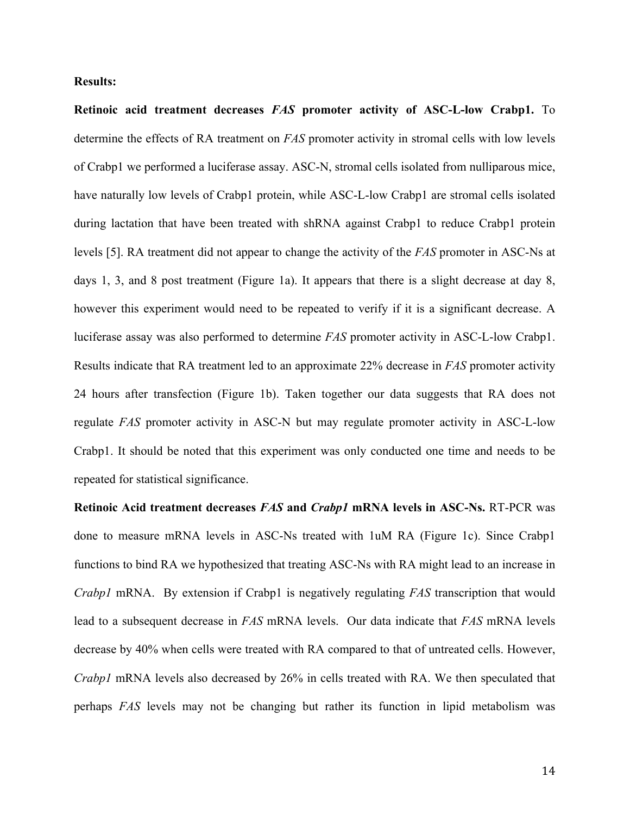#### **Results:**

**Retinoic acid treatment decreases** *FAS* **promoter activity of ASC-L-low Crabp1.** To determine the effects of RA treatment on *FAS* promoter activity in stromal cells with low levels of Crabp1 we performed a luciferase assay. ASC-N, stromal cells isolated from nulliparous mice, have naturally low levels of Crabp1 protein, while ASC-L-low Crabp1 are stromal cells isolated during lactation that have been treated with shRNA against Crabp1 to reduce Crabp1 protein levels [5]. RA treatment did not appear to change the activity of the *FAS* promoter in ASC-Ns at days 1, 3, and 8 post treatment (Figure 1a). It appears that there is a slight decrease at day 8, however this experiment would need to be repeated to verify if it is a significant decrease. A luciferase assay was also performed to determine *FAS* promoter activity in ASC-L-low Crabp1. Results indicate that RA treatment led to an approximate 22% decrease in *FAS* promoter activity 24 hours after transfection (Figure 1b). Taken together our data suggests that RA does not regulate *FAS* promoter activity in ASC-N but may regulate promoter activity in ASC-L-low Crabp1. It should be noted that this experiment was only conducted one time and needs to be repeated for statistical significance.

**Retinoic Acid treatment decreases** *FAS* **and** *Crabp1* **mRNA levels in ASC-Ns.** RT-PCR was done to measure mRNA levels in ASC-Ns treated with 1uM RA (Figure 1c). Since Crabp1 functions to bind RA we hypothesized that treating ASC-Ns with RA might lead to an increase in *Crabp1* mRNA. By extension if Crabp1 is negatively regulating *FAS* transcription that would lead to a subsequent decrease in *FAS* mRNA levels. Our data indicate that *FAS* mRNA levels decrease by 40% when cells were treated with RA compared to that of untreated cells. However, *Crabp1* mRNA levels also decreased by 26% in cells treated with RA. We then speculated that perhaps *FAS* levels may not be changing but rather its function in lipid metabolism was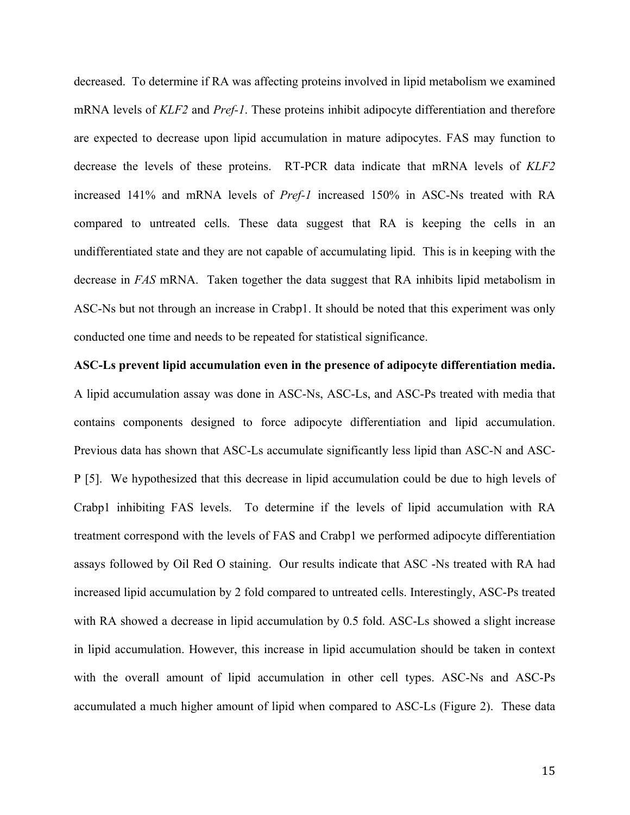decreased. To determine if RA was affecting proteins involved in lipid metabolism we examined mRNA levels of *KLF2* and *Pref-1*. These proteins inhibit adipocyte differentiation and therefore are expected to decrease upon lipid accumulation in mature adipocytes. FAS may function to decrease the levels of these proteins. RT-PCR data indicate that mRNA levels of *KLF2*  increased 141% and mRNA levels of *Pref-1* increased 150% in ASC-Ns treated with RA compared to untreated cells. These data suggest that RA is keeping the cells in an undifferentiated state and they are not capable of accumulating lipid. This is in keeping with the decrease in *FAS* mRNA. Taken together the data suggest that RA inhibits lipid metabolism in ASC-Ns but not through an increase in Crabp1. It should be noted that this experiment was only conducted one time and needs to be repeated for statistical significance.

**ASC-Ls prevent lipid accumulation even in the presence of adipocyte differentiation media.**  A lipid accumulation assay was done in ASC-Ns, ASC-Ls, and ASC-Ps treated with media that contains components designed to force adipocyte differentiation and lipid accumulation. Previous data has shown that ASC-Ls accumulate significantly less lipid than ASC-N and ASC-P [5]. We hypothesized that this decrease in lipid accumulation could be due to high levels of Crabp1 inhibiting FAS levels. To determine if the levels of lipid accumulation with RA treatment correspond with the levels of FAS and Crabp1 we performed adipocyte differentiation assays followed by Oil Red O staining. Our results indicate that ASC -Ns treated with RA had increased lipid accumulation by 2 fold compared to untreated cells. Interestingly, ASC-Ps treated with RA showed a decrease in lipid accumulation by 0.5 fold. ASC-Ls showed a slight increase in lipid accumulation. However, this increase in lipid accumulation should be taken in context with the overall amount of lipid accumulation in other cell types. ASC-Ns and ASC-Ps accumulated a much higher amount of lipid when compared to ASC-Ls (Figure 2). These data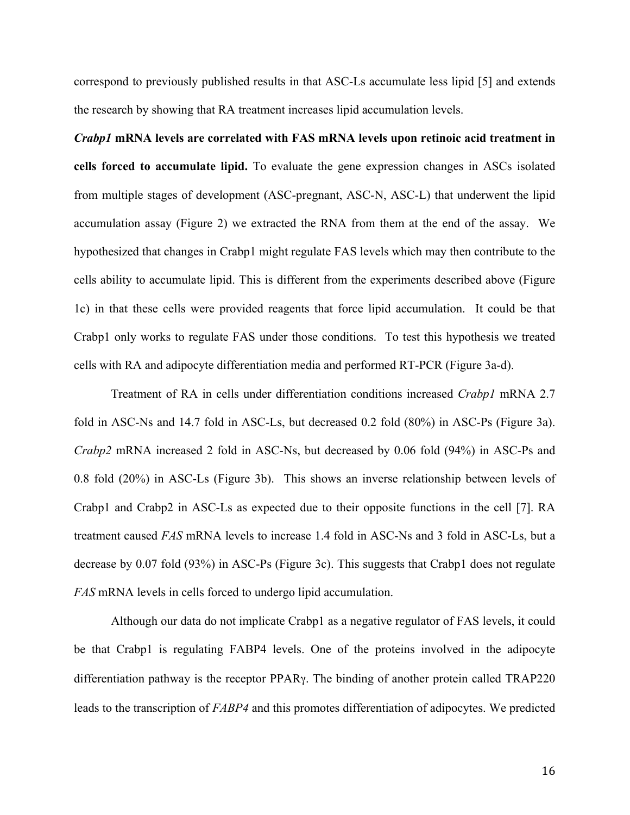correspond to previously published results in that ASC-Ls accumulate less lipid [5] and extends the research by showing that RA treatment increases lipid accumulation levels.

*Crabp1* **mRNA levels are correlated with FAS mRNA levels upon retinoic acid treatment in cells forced to accumulate lipid.** To evaluate the gene expression changes in ASCs isolated from multiple stages of development (ASC-pregnant, ASC-N, ASC-L) that underwent the lipid accumulation assay (Figure 2) we extracted the RNA from them at the end of the assay. We hypothesized that changes in Crabp1 might regulate FAS levels which may then contribute to the cells ability to accumulate lipid. This is different from the experiments described above (Figure 1c) in that these cells were provided reagents that force lipid accumulation. It could be that Crabp1 only works to regulate FAS under those conditions. To test this hypothesis we treated cells with RA and adipocyte differentiation media and performed RT-PCR (Figure 3a-d).

Treatment of RA in cells under differentiation conditions increased *Crabp1* mRNA 2.7 fold in ASC-Ns and 14.7 fold in ASC-Ls, but decreased 0.2 fold (80%) in ASC-Ps (Figure 3a). *Crabp2* mRNA increased 2 fold in ASC-Ns, but decreased by 0.06 fold (94%) in ASC-Ps and 0.8 fold (20%) in ASC-Ls (Figure 3b). This shows an inverse relationship between levels of Crabp1 and Crabp2 in ASC-Ls as expected due to their opposite functions in the cell [7]. RA treatment caused *FAS* mRNA levels to increase 1.4 fold in ASC-Ns and 3 fold in ASC-Ls, but a decrease by 0.07 fold (93%) in ASC-Ps (Figure 3c). This suggests that Crabp1 does not regulate *FAS* mRNA levels in cells forced to undergo lipid accumulation.

Although our data do not implicate Crabp1 as a negative regulator of FAS levels, it could be that Crabp1 is regulating FABP4 levels. One of the proteins involved in the adipocyte differentiation pathway is the receptor PPARγ. The binding of another protein called TRAP220 leads to the transcription of *FABP4* and this promotes differentiation of adipocytes. We predicted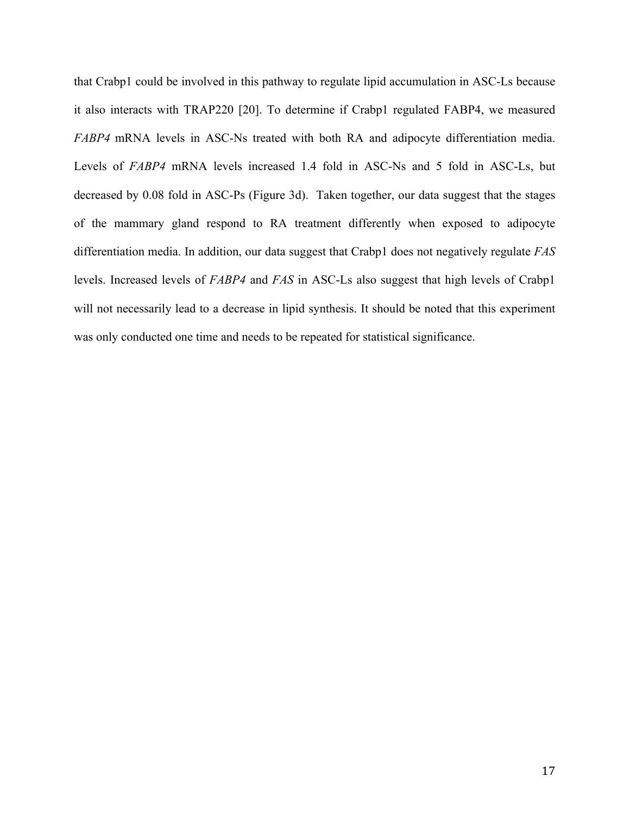that Crabp1 could be involved in this pathway to regulate lipid accumulation in ASC-Ls because it also interacts with TRAP220 [20]. To determine if Crabp1 regulated FABP4, we measured *FABP4* mRNA levels in ASC-Ns treated with both RA and adipocyte differentiation media. Levels of *FABP4* mRNA levels increased 1.4 fold in ASC-Ns and 5 fold in ASC-Ls, but decreased by 0.08 fold in ASC-Ps (Figure 3d). Taken together, our data suggest that the stages of the mammary gland respond to RA treatment differently when exposed to adipocyte differentiation media. In addition, our data suggest that Crabp1 does not negatively regulate *FAS* levels. Increased levels of *FABP4* and *FAS* in ASC-Ls also suggest that high levels of Crabp1 will not necessarily lead to a decrease in lipid synthesis. It should be noted that this experiment was only conducted one time and needs to be repeated for statistical significance.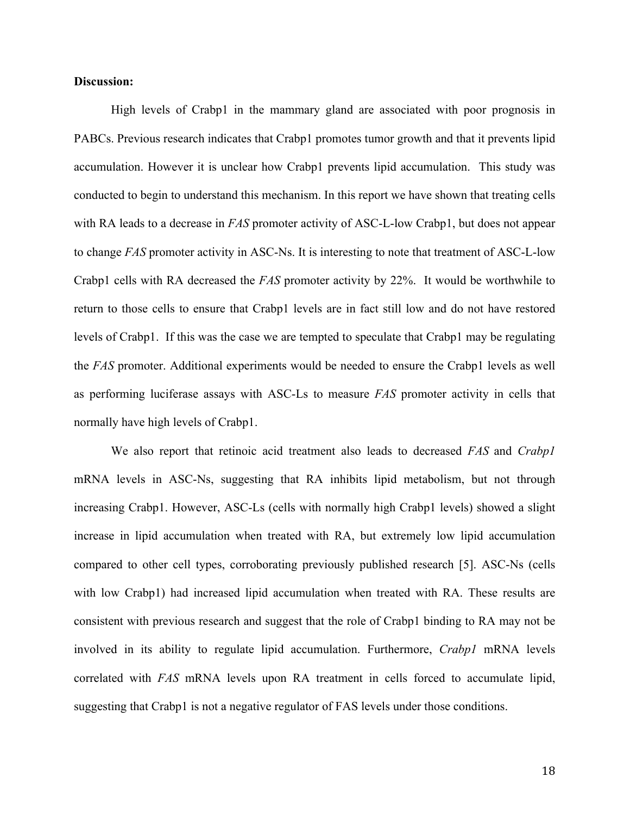#### **Discussion:**

High levels of Crabp1 in the mammary gland are associated with poor prognosis in PABCs. Previous research indicates that Crabp1 promotes tumor growth and that it prevents lipid accumulation. However it is unclear how Crabp1 prevents lipid accumulation. This study was conducted to begin to understand this mechanism. In this report we have shown that treating cells with RA leads to a decrease in *FAS* promoter activity of ASC-L-low Crabp1, but does not appear to change *FAS* promoter activity in ASC-Ns. It is interesting to note that treatment of ASC-L-low Crabp1 cells with RA decreased the *FAS* promoter activity by 22%. It would be worthwhile to return to those cells to ensure that Crabp1 levels are in fact still low and do not have restored levels of Crabp1. If this was the case we are tempted to speculate that Crabp1 may be regulating the *FAS* promoter. Additional experiments would be needed to ensure the Crabp1 levels as well as performing luciferase assays with ASC-Ls to measure *FAS* promoter activity in cells that normally have high levels of Crabp1.

We also report that retinoic acid treatment also leads to decreased *FAS* and *Crabp1* mRNA levels in ASC-Ns, suggesting that RA inhibits lipid metabolism, but not through increasing Crabp1. However, ASC-Ls (cells with normally high Crabp1 levels) showed a slight increase in lipid accumulation when treated with RA, but extremely low lipid accumulation compared to other cell types, corroborating previously published research [5]. ASC-Ns (cells with low Crabp1) had increased lipid accumulation when treated with RA. These results are consistent with previous research and suggest that the role of Crabp1 binding to RA may not be involved in its ability to regulate lipid accumulation. Furthermore, *Crabp1* mRNA levels correlated with *FAS* mRNA levels upon RA treatment in cells forced to accumulate lipid, suggesting that Crabp1 is not a negative regulator of FAS levels under those conditions.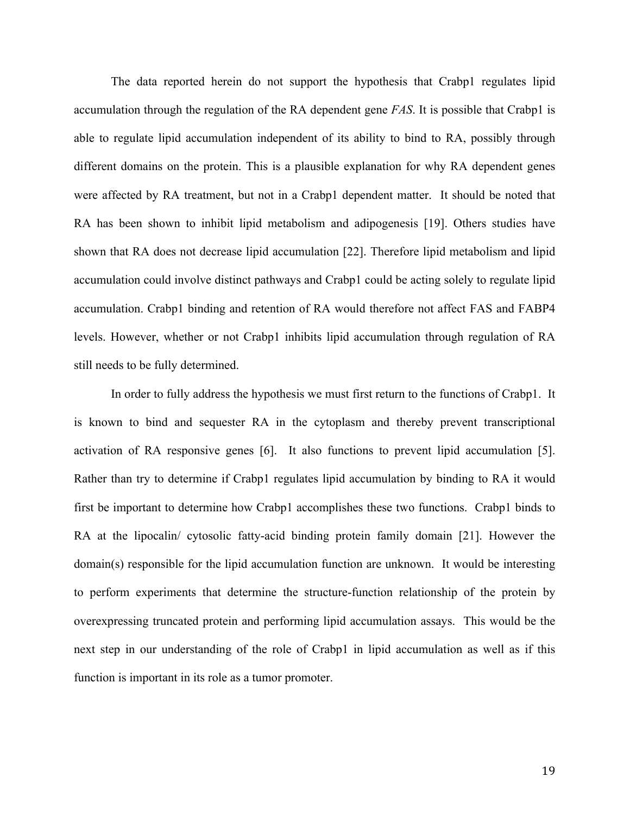The data reported herein do not support the hypothesis that Crabp1 regulates lipid accumulation through the regulation of the RA dependent gene *FAS*. It is possible that Crabp1 is able to regulate lipid accumulation independent of its ability to bind to RA, possibly through different domains on the protein. This is a plausible explanation for why RA dependent genes were affected by RA treatment, but not in a Crabp1 dependent matter. It should be noted that RA has been shown to inhibit lipid metabolism and adipogenesis [19]. Others studies have shown that RA does not decrease lipid accumulation [22]. Therefore lipid metabolism and lipid accumulation could involve distinct pathways and Crabp1 could be acting solely to regulate lipid accumulation. Crabp1 binding and retention of RA would therefore not affect FAS and FABP4 levels. However, whether or not Crabp1 inhibits lipid accumulation through regulation of RA still needs to be fully determined.

In order to fully address the hypothesis we must first return to the functions of Crabp1. It is known to bind and sequester RA in the cytoplasm and thereby prevent transcriptional activation of RA responsive genes [6]. It also functions to prevent lipid accumulation [5]. Rather than try to determine if Crabp1 regulates lipid accumulation by binding to RA it would first be important to determine how Crabp1 accomplishes these two functions. Crabp1 binds to RA at the lipocalin/ cytosolic fatty-acid binding protein family domain [21]. However the domain(s) responsible for the lipid accumulation function are unknown. It would be interesting to perform experiments that determine the structure-function relationship of the protein by overexpressing truncated protein and performing lipid accumulation assays. This would be the next step in our understanding of the role of Crabp1 in lipid accumulation as well as if this function is important in its role as a tumor promoter.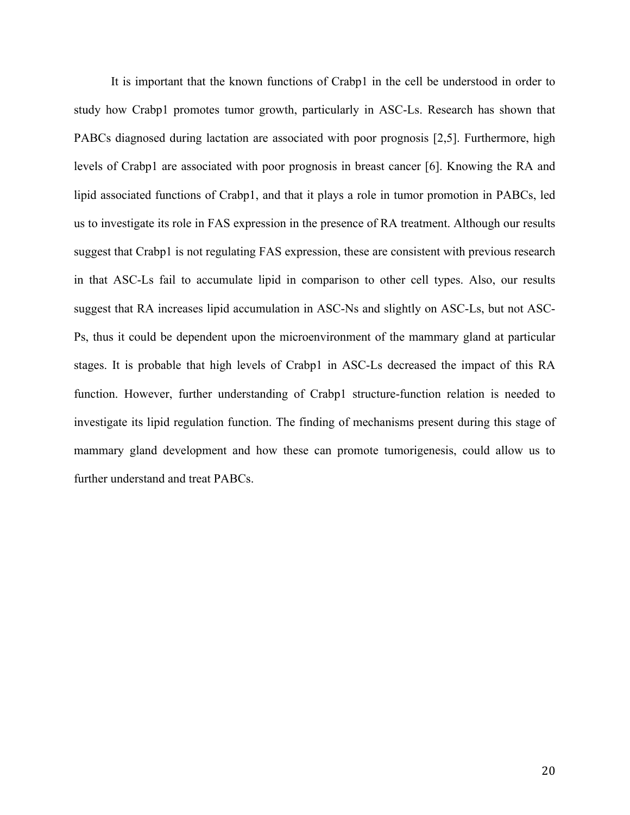It is important that the known functions of Crabp1 in the cell be understood in order to study how Crabp1 promotes tumor growth, particularly in ASC-Ls. Research has shown that PABCs diagnosed during lactation are associated with poor prognosis [2,5]. Furthermore, high levels of Crabp1 are associated with poor prognosis in breast cancer [6]. Knowing the RA and lipid associated functions of Crabp1, and that it plays a role in tumor promotion in PABCs, led us to investigate its role in FAS expression in the presence of RA treatment. Although our results suggest that Crabp1 is not regulating FAS expression, these are consistent with previous research in that ASC-Ls fail to accumulate lipid in comparison to other cell types. Also, our results suggest that RA increases lipid accumulation in ASC-Ns and slightly on ASC-Ls, but not ASC-Ps, thus it could be dependent upon the microenvironment of the mammary gland at particular stages. It is probable that high levels of Crabp1 in ASC-Ls decreased the impact of this RA function. However, further understanding of Crabp1 structure-function relation is needed to investigate its lipid regulation function. The finding of mechanisms present during this stage of mammary gland development and how these can promote tumorigenesis, could allow us to further understand and treat PABCs.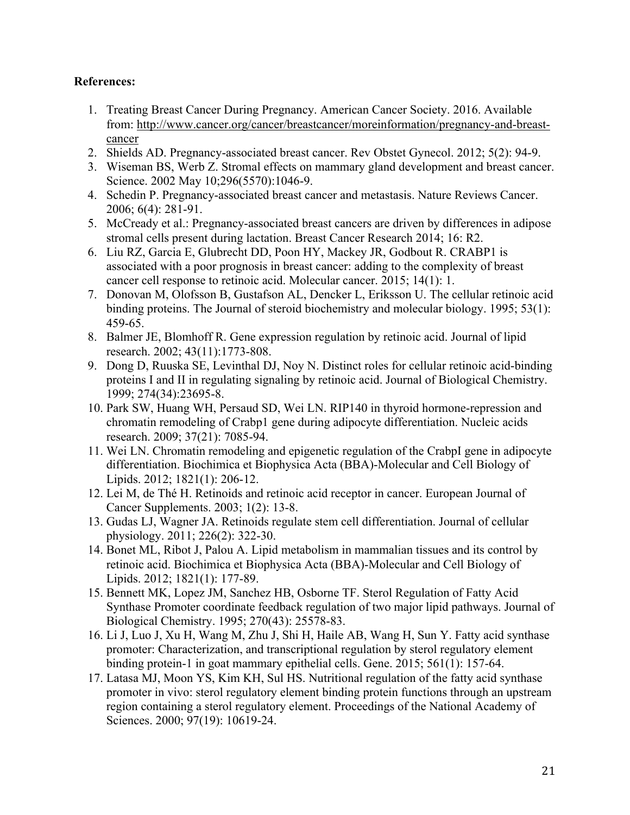# **References:**

- 1. Treating Breast Cancer During Pregnancy. American Cancer Society. 2016. Available from: http://www.cancer.org/cancer/breastcancer/moreinformation/pregnancy-and-breastcancer
- 2. Shields AD. Pregnancy-associated breast cancer. Rev Obstet Gynecol. 2012; 5(2): 94-9.
- 3. Wiseman BS, Werb Z. Stromal effects on mammary gland development and breast cancer. Science. 2002 May 10;296(5570):1046-9.
- 4. Schedin P. Pregnancy-associated breast cancer and metastasis. Nature Reviews Cancer. 2006; 6(4): 281-91.
- 5. McCready et al.: Pregnancy-associated breast cancers are driven by differences in adipose stromal cells present during lactation. Breast Cancer Research 2014; 16: R2.
- 6. Liu RZ, Garcia E, Glubrecht DD, Poon HY, Mackey JR, Godbout R. CRABP1 is associated with a poor prognosis in breast cancer: adding to the complexity of breast cancer cell response to retinoic acid. Molecular cancer. 2015; 14(1): 1.
- 7. Donovan M, Olofsson B, Gustafson AL, Dencker L, Eriksson U. The cellular retinoic acid binding proteins. The Journal of steroid biochemistry and molecular biology. 1995; 53(1): 459-65.
- 8. Balmer JE, Blomhoff R. Gene expression regulation by retinoic acid. Journal of lipid research. 2002; 43(11):1773-808.
- 9. Dong D, Ruuska SE, Levinthal DJ, Noy N. Distinct roles for cellular retinoic acid-binding proteins I and II in regulating signaling by retinoic acid. Journal of Biological Chemistry. 1999; 274(34):23695-8.
- 10. Park SW, Huang WH, Persaud SD, Wei LN. RIP140 in thyroid hormone-repression and chromatin remodeling of Crabp1 gene during adipocyte differentiation. Nucleic acids research. 2009; 37(21): 7085-94.
- 11. Wei LN. Chromatin remodeling and epigenetic regulation of the CrabpI gene in adipocyte differentiation. Biochimica et Biophysica Acta (BBA)-Molecular and Cell Biology of Lipids. 2012; 1821(1): 206-12.
- 12. Lei M, de Thé H. Retinoids and retinoic acid receptor in cancer. European Journal of Cancer Supplements. 2003; 1(2): 13-8.
- 13. Gudas LJ, Wagner JA. Retinoids regulate stem cell differentiation. Journal of cellular physiology. 2011; 226(2): 322-30.
- 14. Bonet ML, Ribot J, Palou A. Lipid metabolism in mammalian tissues and its control by retinoic acid. Biochimica et Biophysica Acta (BBA)-Molecular and Cell Biology of Lipids. 2012; 1821(1): 177-89.
- 15. Bennett MK, Lopez JM, Sanchez HB, Osborne TF. Sterol Regulation of Fatty Acid Synthase Promoter coordinate feedback regulation of two major lipid pathways. Journal of Biological Chemistry. 1995; 270(43): 25578-83.
- 16. Li J, Luo J, Xu H, Wang M, Zhu J, Shi H, Haile AB, Wang H, Sun Y. Fatty acid synthase promoter: Characterization, and transcriptional regulation by sterol regulatory element binding protein-1 in goat mammary epithelial cells. Gene. 2015; 561(1): 157-64.
- 17. Latasa MJ, Moon YS, Kim KH, Sul HS. Nutritional regulation of the fatty acid synthase promoter in vivo: sterol regulatory element binding protein functions through an upstream region containing a sterol regulatory element. Proceedings of the National Academy of Sciences. 2000; 97(19): 10619-24.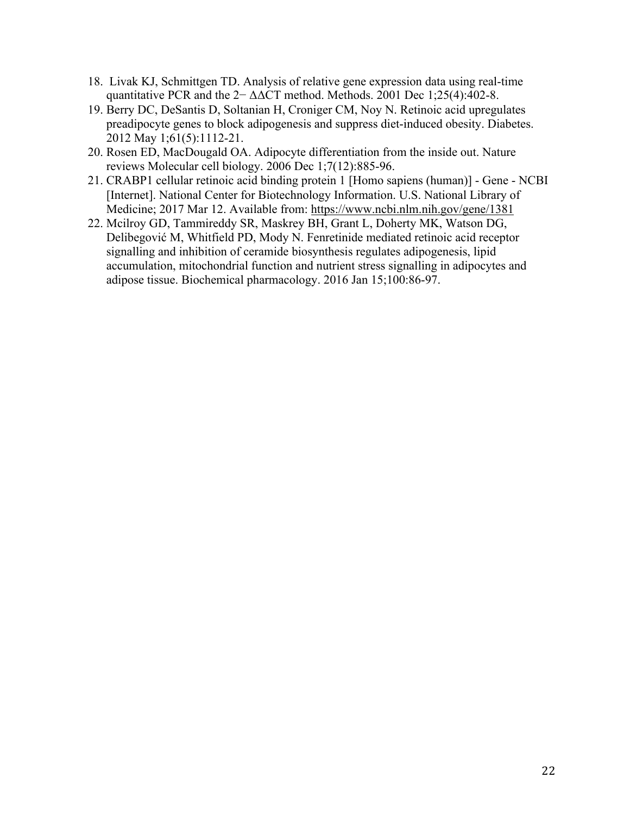- 18. Livak KJ, Schmittgen TD. Analysis of relative gene expression data using real-time quantitative PCR and the  $2-\Delta\Delta$ CT method. Methods. 2001 Dec 1;25(4):402-8.
- 19. Berry DC, DeSantis D, Soltanian H, Croniger CM, Noy N. Retinoic acid upregulates preadipocyte genes to block adipogenesis and suppress diet-induced obesity. Diabetes. 2012 May 1;61(5):1112-21.
- 20. Rosen ED, MacDougald OA. Adipocyte differentiation from the inside out. Nature reviews Molecular cell biology. 2006 Dec 1;7(12):885-96.
- 21. CRABP1 cellular retinoic acid binding protein 1 [Homo sapiens (human)] Gene NCBI [Internet]. National Center for Biotechnology Information. U.S. National Library of Medicine; 2017 Mar 12. Available from: https://www.ncbi.nlm.nih.gov/gene/1381
- 22. Mcilroy GD, Tammireddy SR, Maskrey BH, Grant L, Doherty MK, Watson DG, Delibegović M, Whitfield PD, Mody N. Fenretinide mediated retinoic acid receptor signalling and inhibition of ceramide biosynthesis regulates adipogenesis, lipid accumulation, mitochondrial function and nutrient stress signalling in adipocytes and adipose tissue. Biochemical pharmacology. 2016 Jan 15;100:86-97.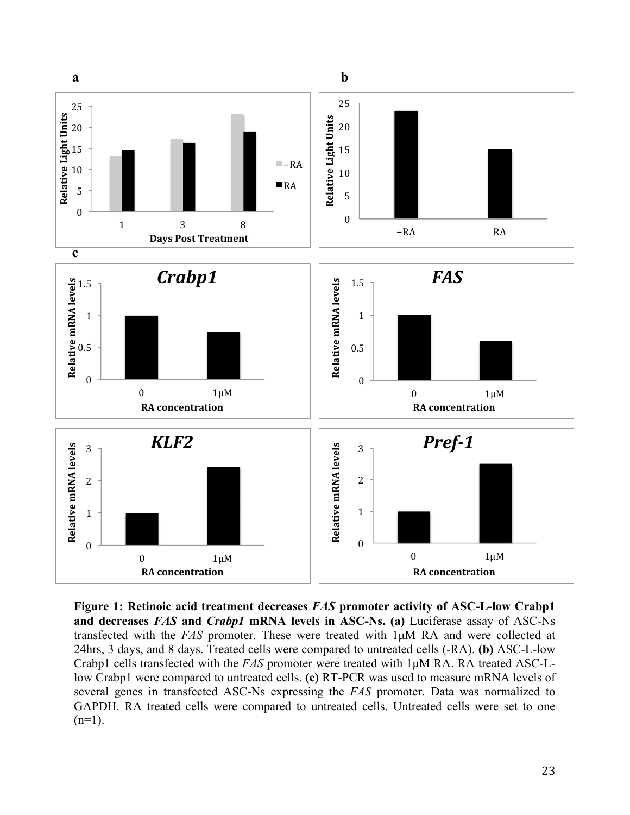

**Figure 1: Retinoic acid treatment decreases** *FAS* **promoter activity of ASC-L-low Crabp1 and decreases** *FAS* **and** *Crabp1* **mRNA levels in ASC-Ns. (a)** Luciferase assay of ASC-Ns transfected with the *FAS* promoter. These were treated with 1µM RA and were collected at 24hrs, 3 days, and 8 days. Treated cells were compared to untreated cells (-RA). **(b)** ASC-L-low Crabp1 cells transfected with the *FAS* promoter were treated with 1µM RA. RA treated ASC-Llow Crabp1 were compared to untreated cells. **(c)** RT-PCR was used to measure mRNA levels of several genes in transfected ASC-Ns expressing the *FAS* promoter. Data was normalized to GAPDH. RA treated cells were compared to untreated cells. Untreated cells were set to one  $(n=1)$ .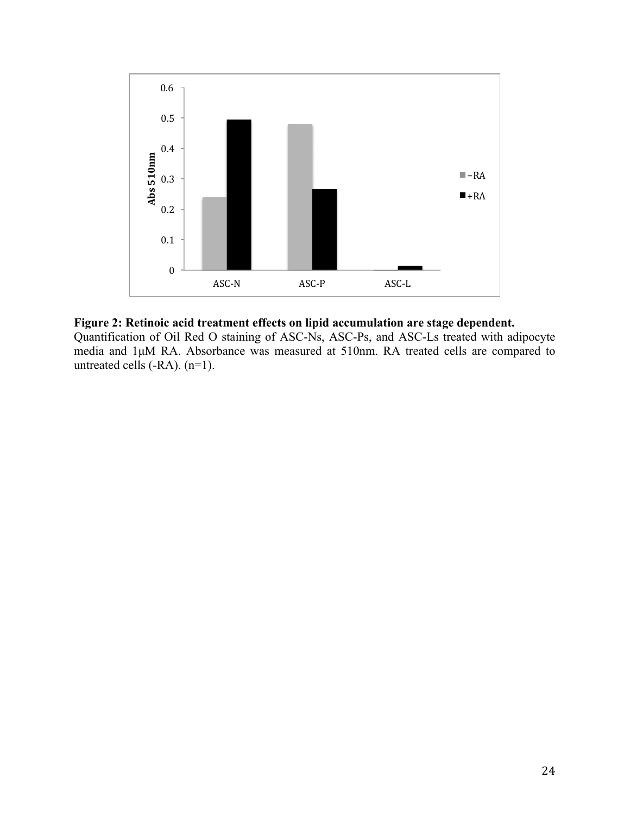

## **Figure 2: Retinoic acid treatment effects on lipid accumulation are stage dependent.**

Quantification of Oil Red O staining of ASC-Ns, ASC-Ps, and ASC-Ls treated with adipocyte media and 1µM RA. Absorbance was measured at 510nm. RA treated cells are compared to untreated cells (-RA). (n=1).